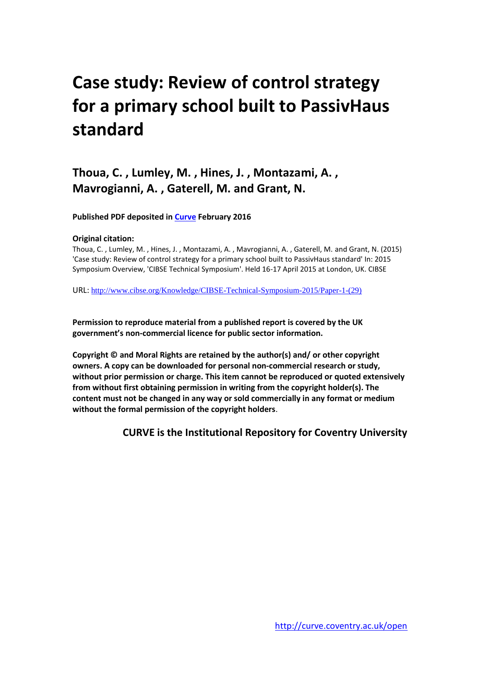# **Case study: Review of control strategy for a primary school built to PassivHaus standard**

**Thoua, C. , Lumley, M. , Hines, J. , Montazami, A. , Mavrogianni, A. , Gaterell, M. and Grant, N.** 

**Published PDF deposited in Curve February 2016** 

#### **Original citation:**

Thoua, C. , Lumley, M. , Hines, J. , Montazami, A. , Mavrogianni, A. , Gaterell, M. and Grant, N. (2015) 'Case study: Review of control strategy for a primary school built to PassivHaus standard' In: 2015 [Symposium Overview, 'CIBSE Technical Symposium'. Held 16-17 April 2015 at London, UK. CIBSE](http://www.cibse.org/Knowledge/CIBSE-Technical-Symposium-2015/Paper-1-(29)) 

URL: http://www.cibse.org/Knowledge/CIBSE-Technical-Symposium-2015/Paper-1-(29)

**Permission to reproduce material from a published report is covered by the UK government's non-commercial licence for public sector information.** 

**Copyright © and Moral Rights are retained by the author(s) and/ or other copyright owners. A copy can be downloaded for personal non-commercial research or study, without prior permission or charge. This item cannot be reproduced or quoted extensively from without first obtaining permission in writing from the copyright holder(s). The content must not be changed in any way or sold commercially in any format or medium without the formal permission of the copyright holders**.

**CURVE is the Institutional Repository for Coventry University**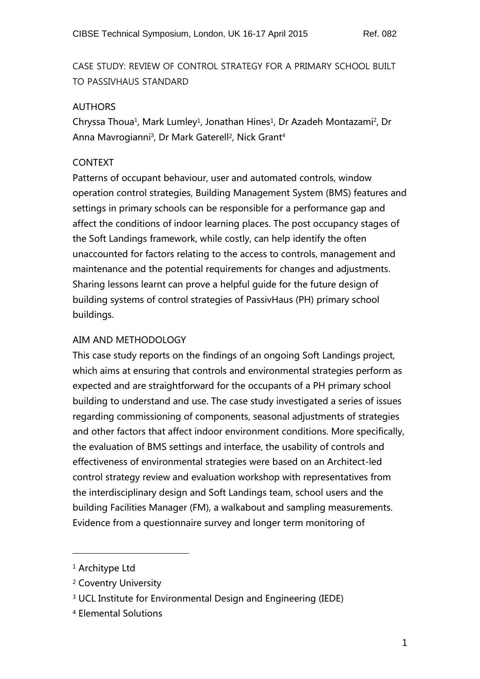CASE STUDY: REVIEW OF CONTROL STRATEGY FOR A PRIMARY SCHOOL BUILT TO PASSIVHAUS STANDARD

## AUTHORS

Chryssa Thoua<sup>1</sup>, Mark Lumley<sup>1</sup>, Jonathan Hines<sup>1</sup>, Dr Azadeh Montazami<sup>2</sup>, Dr Anna Mavrogianni<sup>3</sup>, Dr Mark Gaterell<sup>2</sup>, Nick Grant<sup>4</sup>

# CONTEXT

Patterns of occupant behaviour, user and automated controls, window operation control strategies, Building Management System (BMS) features and settings in primary schools can be responsible for a performance gap and affect the conditions of indoor learning places. The post occupancy stages of the Soft Landings framework, while costly, can help identify the often unaccounted for factors relating to the access to controls, management and maintenance and the potential requirements for changes and adjustments. Sharing lessons learnt can prove a helpful guide for the future design of building systems of control strategies of PassivHaus (PH) primary school buildings.

# AIM AND METHODOLOGY

This case study reports on the findings of an ongoing Soft Landings project, which aims at ensuring that controls and environmental strategies perform as expected and are straightforward for the occupants of a PH primary school building to understand and use. The case study investigated a series of issues regarding commissioning of components, seasonal adjustments of strategies and other factors that affect indoor environment conditions. More specifically, the evaluation of BMS settings and interface, the usability of controls and effectiveness of environmental strategies were based on an Architect-led control strategy review and evaluation workshop with representatives from the interdisciplinary design and Soft Landings team, school users and the building Facilities Manager (FM), a walkabout and sampling measurements. Evidence from a questionnaire survey and longer term monitoring of

 $\overline{a}$ 

<sup>&</sup>lt;sup>1</sup> Architype Ltd

<sup>2</sup> Coventry University

<sup>3</sup> UCL Institute for Environmental Design and Engineering (IEDE)

<sup>4</sup> Elemental Solutions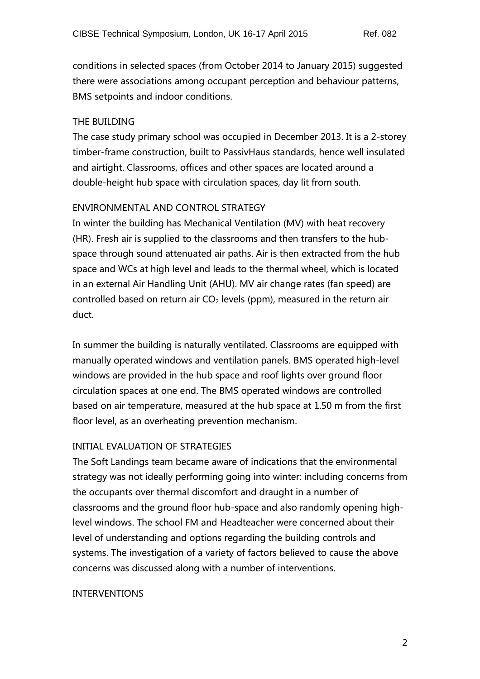conditions in selected spaces (from October 2014 to January 2015) suggested there were associations among occupant perception and behaviour patterns, BMS setpoints and indoor conditions.

### THE BUILDING

The case study primary school was occupied in December 2013. It is a 2-storey timber-frame construction, built to PassivHaus standards, hence well insulated and airtight. Classrooms, offices and other spaces are located around a double-height hub space with circulation spaces, day lit from south.

# ENVIRONMENTAL AND CONTROL STRATEGY

In winter the building has Mechanical Ventilation (MV) with heat recovery (HR). Fresh air is supplied to the classrooms and then transfers to the hubspace through sound attenuated air paths. Air is then extracted from the hub space and WCs at high level and leads to the thermal wheel, which is located in an external Air Handling Unit (AHU). MV air change rates (fan speed) are controlled based on return air  $CO<sub>2</sub>$  levels (ppm), measured in the return air duct.

In summer the building is naturally ventilated. Classrooms are equipped with manually operated windows and ventilation panels. BMS operated high-level windows are provided in the hub space and roof lights over ground floor circulation spaces at one end. The BMS operated windows are controlled based on air temperature, measured at the hub space at 1.50 m from the first floor level, as an overheating prevention mechanism.

# INITIAL EVALUATION OF STRATEGIES

The Soft Landings team became aware of indications that the environmental strategy was not ideally performing going into winter: including concerns from the occupants over thermal discomfort and draught in a number of classrooms and the ground floor hub-space and also randomly opening highlevel windows. The school FM and Headteacher were concerned about their level of understanding and options regarding the building controls and systems. The investigation of a variety of factors believed to cause the above concerns was discussed along with a number of interventions.

### INTERVENTIONS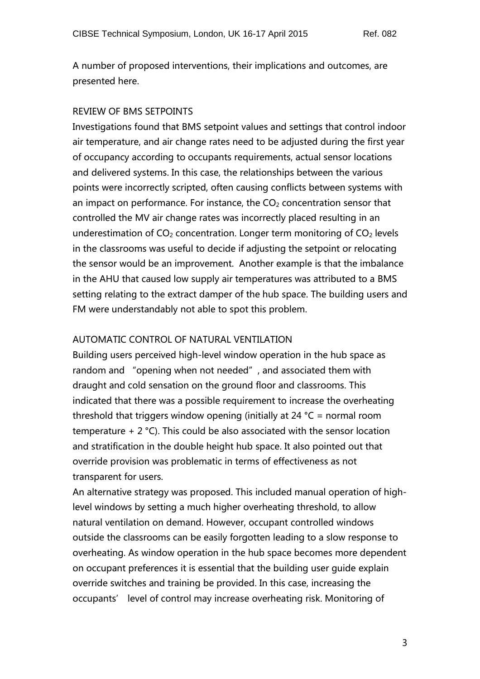A number of proposed interventions, their implications and outcomes, are presented here.

#### REVIEW OF BMS SETPOINTS

Investigations found that BMS setpoint values and settings that control indoor air temperature, and air change rates need to be adjusted during the first year of occupancy according to occupants requirements, actual sensor locations and delivered systems. In this case, the relationships between the various points were incorrectly scripted, often causing conflicts between systems with an impact on performance. For instance, the  $CO<sub>2</sub>$  concentration sensor that controlled the MV air change rates was incorrectly placed resulting in an underestimation of  $CO<sub>2</sub>$  concentration. Longer term monitoring of  $CO<sub>2</sub>$  levels in the classrooms was useful to decide if adjusting the setpoint or relocating the sensor would be an improvement. Another example is that the imbalance in the AHU that caused low supply air temperatures was attributed to a BMS setting relating to the extract damper of the hub space. The building users and FM were understandably not able to spot this problem.

### AUTOMATIC CONTROL OF NATURAL VENTILATION

Building users perceived high-level window operation in the hub space as random and "opening when not needed", and associated them with draught and cold sensation on the ground floor and classrooms. This indicated that there was a possible requirement to increase the overheating threshold that triggers window opening (initially at 24 °C = normal room temperature + 2 °C). This could be also associated with the sensor location and stratification in the double height hub space. It also pointed out that override provision was problematic in terms of effectiveness as not transparent for users.

An alternative strategy was proposed. This included manual operation of highlevel windows by setting a much higher overheating threshold, to allow natural ventilation on demand. However, occupant controlled windows outside the classrooms can be easily forgotten leading to a slow response to overheating. As window operation in the hub space becomes more dependent on occupant preferences it is essential that the building user guide explain override switches and training be provided. In this case, increasing the occupants' level of control may increase overheating risk. Monitoring of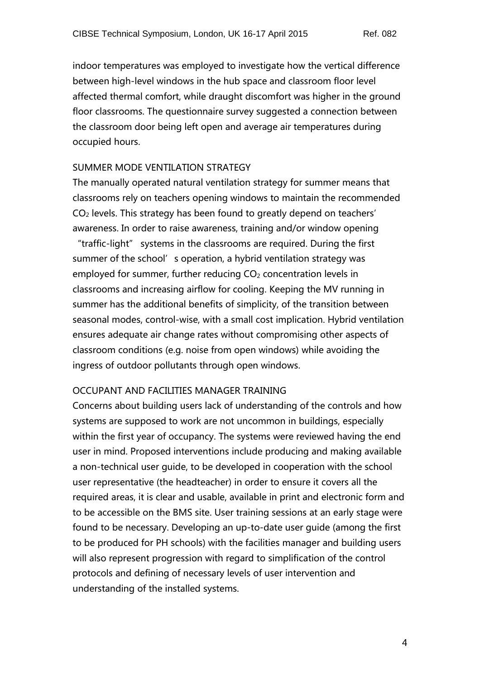indoor temperatures was employed to investigate how the vertical difference between high-level windows in the hub space and classroom floor level affected thermal comfort, while draught discomfort was higher in the ground floor classrooms. The questionnaire survey suggested a connection between the classroom door being left open and average air temperatures during occupied hours.

#### SUMMER MODE VENTILATION STRATEGY

The manually operated natural ventilation strategy for summer means that classrooms rely on teachers opening windows to maintain the recommended CO<sup>2</sup> levels. This strategy has been found to greatly depend on teachers' awareness. In order to raise awareness, training and/or window opening "traffic-light" systems in the classrooms are required. During the first summer of the school's operation, a hybrid ventilation strategy was employed for summer, further reducing  $CO<sub>2</sub>$  concentration levels in classrooms and increasing airflow for cooling. Keeping the MV running in summer has the additional benefits of simplicity, of the transition between seasonal modes, control-wise, with a small cost implication. Hybrid ventilation ensures adequate air change rates without compromising other aspects of classroom conditions (e.g. noise from open windows) while avoiding the ingress of outdoor pollutants through open windows.

#### OCCUPANT AND FACILITIES MANAGER TRAINING

Concerns about building users lack of understanding of the controls and how systems are supposed to work are not uncommon in buildings, especially within the first year of occupancy. The systems were reviewed having the end user in mind. Proposed interventions include producing and making available a non-technical user guide, to be developed in cooperation with the school user representative (the headteacher) in order to ensure it covers all the required areas, it is clear and usable, available in print and electronic form and to be accessible on the BMS site. User training sessions at an early stage were found to be necessary. Developing an up-to-date user guide (among the first to be produced for PH schools) with the facilities manager and building users will also represent progression with regard to simplification of the control protocols and defining of necessary levels of user intervention and understanding of the installed systems.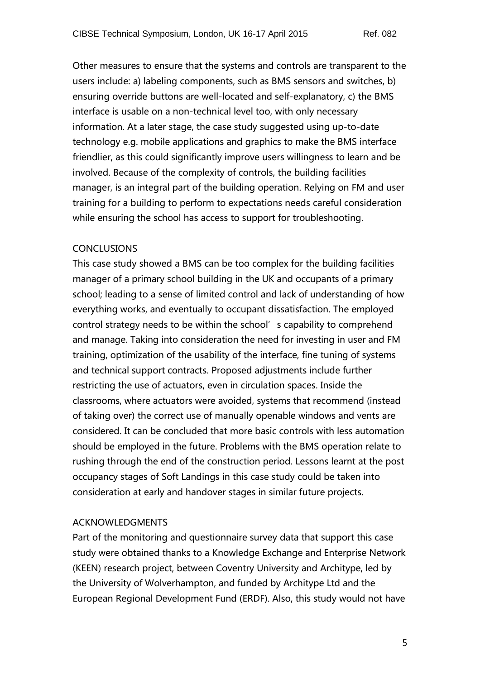Other measures to ensure that the systems and controls are transparent to the users include: a) labeling components, such as BMS sensors and switches, b) ensuring override buttons are well-located and self-explanatory, c) the BMS interface is usable on a non-technical level too, with only necessary information. At a later stage, the case study suggested using up-to-date technology e.g. mobile applications and graphics to make the BMS interface friendlier, as this could significantly improve users willingness to learn and be involved. Because of the complexity of controls, the building facilities manager, is an integral part of the building operation. Relying on FM and user training for a building to perform to expectations needs careful consideration while ensuring the school has access to support for troubleshooting.

#### **CONCLUSIONS**

This case study showed a BMS can be too complex for the building facilities manager of a primary school building in the UK and occupants of a primary school; leading to a sense of limited control and lack of understanding of how everything works, and eventually to occupant dissatisfaction. The employed control strategy needs to be within the school's capability to comprehend and manage. Taking into consideration the need for investing in user and FM training, optimization of the usability of the interface, fine tuning of systems and technical support contracts. Proposed adjustments include further restricting the use of actuators, even in circulation spaces. Inside the classrooms, where actuators were avoided, systems that recommend (instead of taking over) the correct use of manually openable windows and vents are considered. It can be concluded that more basic controls with less automation should be employed in the future. Problems with the BMS operation relate to rushing through the end of the construction period. Lessons learnt at the post occupancy stages of Soft Landings in this case study could be taken into consideration at early and handover stages in similar future projects.

#### ACKNOWLEDGMENTS

Part of the monitoring and questionnaire survey data that support this case study were obtained thanks to a Knowledge Exchange and Enterprise Network (KEEN) research project, between Coventry University and Architype, led by the University of Wolverhampton, and funded by Architype Ltd and the European Regional Development Fund (ERDF). Also, this study would not have